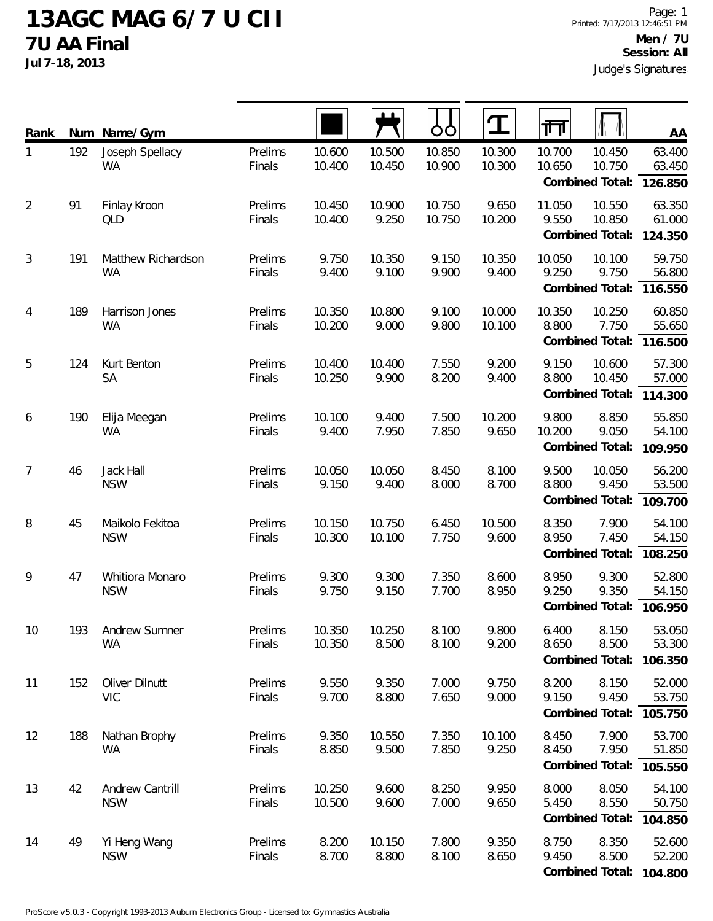## **13AGC MAG 6/7 U CII 7U AA Final**

**Jul 7-18, 2013**

| Rank           | Num | Name/Gym                        |                   |                  |                  | OO               |                  | 帀                |                                     | <b>AA</b>                   |
|----------------|-----|---------------------------------|-------------------|------------------|------------------|------------------|------------------|------------------|-------------------------------------|-----------------------------|
| 1              | 192 | Joseph Spellacy<br><b>WA</b>    | Prelims<br>Finals | 10.600<br>10.400 | 10.500<br>10.450 | 10.850<br>10.900 | 10.300<br>10.300 | 10.700<br>10.650 | 10.450<br>10.750<br>Combined Total: | 63.400<br>63.450<br>126.850 |
| $\overline{2}$ | 91  | Finlay Kroon<br>QLD             | Prelims<br>Finals | 10.450<br>10.400 | 10.900<br>9.250  | 10.750<br>10.750 | 9.650<br>10.200  | 11.050<br>9.550  | 10.550<br>10.850<br>Combined Total: | 63.350<br>61.000<br>124.350 |
| 3              | 191 | Matthew Richardson<br><b>WA</b> | Prelims<br>Finals | 9.750<br>9.400   | 10.350<br>9.100  | 9.150<br>9.900   | 10.350<br>9.400  | 10.050<br>9.250  | 10.100<br>9.750<br>Combined Total:  | 59.750<br>56.800<br>116.550 |
| $\overline{4}$ | 189 | Harrison Jones<br><b>WA</b>     | Prelims<br>Finals | 10.350<br>10.200 | 10.800<br>9.000  | 9.100<br>9.800   | 10.000<br>10.100 | 10.350<br>8.800  | 10.250<br>7.750<br>Combined Total:  | 60.850<br>55.650<br>116.500 |
| 5              | 124 | Kurt Benton<br><b>SA</b>        | Prelims<br>Finals | 10.400<br>10.250 | 10.400<br>9.900  | 7.550<br>8.200   | 9.200<br>9.400   | 9.150<br>8.800   | 10.600<br>10.450<br>Combined Total: | 57.300<br>57.000<br>114.300 |
| 6              | 190 | Elija Meegan<br><b>WA</b>       | Prelims<br>Finals | 10.100<br>9.400  | 9.400<br>7.950   | 7.500<br>7.850   | 10.200<br>9.650  | 9.800<br>10.200  | 8.850<br>9.050<br>Combined Total:   | 55.850<br>54.100<br>109.950 |
| $\overline{7}$ | 46  | Jack Hall<br><b>NSW</b>         | Prelims<br>Finals | 10.050<br>9.150  | 10.050<br>9.400  | 8.450<br>8.000   | 8.100<br>8.700   | 9.500<br>8.800   | 10.050<br>9.450<br>Combined Total:  | 56.200<br>53.500<br>109.700 |
| 8              | 45  | Maikolo Fekitoa<br><b>NSW</b>   | Prelims<br>Finals | 10.150<br>10.300 | 10.750<br>10.100 | 6.450<br>7.750   | 10.500<br>9.600  | 8.350<br>8.950   | 7.900<br>7.450<br>Combined Total:   | 54.100<br>54.150<br>108.250 |
| 9              | 47  | Whitiora Monaro<br><b>NSW</b>   | Prelims<br>Finals | 9.300<br>9.750   | 9.300<br>9.150   | 7.350<br>7.700   | 8.600<br>8.950   | 8.950<br>9.250   | 9.300<br>9.350<br>Combined Total:   | 52.800<br>54.150<br>106.950 |
| 10             | 193 | Andrew Sumner<br><b>WA</b>      | Prelims<br>Finals | 10.350<br>10.350 | 10.250<br>8.500  | 8.100<br>8.100   | 9.800<br>9.200   | 6.400<br>8.650   | 8.150<br>8.500<br>Combined Total:   | 53.050<br>53.300<br>106.350 |
| 11             | 152 | Oliver Dilnutt<br><b>VIC</b>    | Prelims<br>Finals | 9.550<br>9.700   | 9.350<br>8.800   | 7.000<br>7.650   | 9.750<br>9.000   | 8.200<br>9.150   | 8.150<br>9.450<br>Combined Total:   | 52.000<br>53.750<br>105.750 |
| 12             | 188 | Nathan Brophy<br>WA             | Prelims<br>Finals | 9.350<br>8.850   | 10.550<br>9.500  | 7.350<br>7.850   | 10.100<br>9.250  | 8.450<br>8.450   | 7.900<br>7.950<br>Combined Total:   | 53.700<br>51.850<br>105.550 |
| 13             | 42  | Andrew Cantrill<br><b>NSW</b>   | Prelims<br>Finals | 10.250<br>10.500 | 9.600<br>9.600   | 8.250<br>7.000   | 9.950<br>9.650   | 8.000<br>5.450   | 8.050<br>8.550<br>Combined Total:   | 54.100<br>50.750<br>104.850 |
| 14             | 49  | Yi Heng Wang<br><b>NSW</b>      | Prelims<br>Finals | 8.200<br>8.700   | 10.150<br>8.800  | 7.800<br>8.100   | 9.350<br>8.650   | 8.750<br>9.450   | 8.350<br>8.500<br>Combined Total:   | 52.600<br>52.200<br>104.800 |